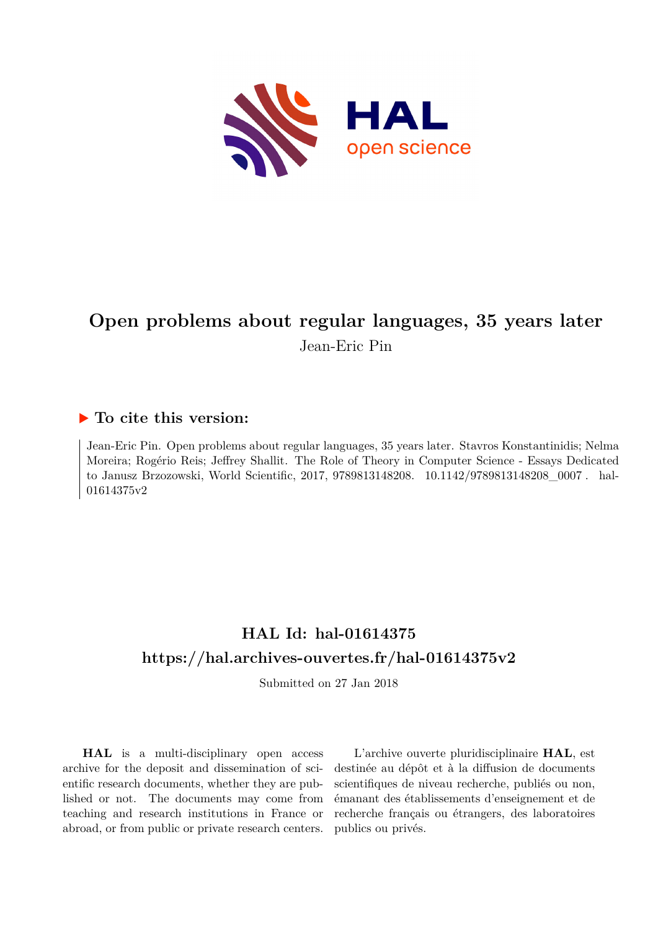

# **Open problems about regular languages, 35 years later** Jean-Eric Pin

## **To cite this version:**

Jean-Eric Pin. Open problems about regular languages, 35 years later. Stavros Konstantinidis; Nelma Moreira; Rogério Reis; Jeffrey Shallit. The Role of Theory in Computer Science - Essays Dedicated to Janusz Brzozowski, World Scientific, 2017, 9789813148208. 10.1142/9789813148208\_0007. hal-01614375v2

# **HAL Id: hal-01614375 <https://hal.archives-ouvertes.fr/hal-01614375v2>**

Submitted on 27 Jan 2018

**HAL** is a multi-disciplinary open access archive for the deposit and dissemination of scientific research documents, whether they are published or not. The documents may come from teaching and research institutions in France or abroad, or from public or private research centers.

L'archive ouverte pluridisciplinaire **HAL**, est destinée au dépôt et à la diffusion de documents scientifiques de niveau recherche, publiés ou non, émanant des établissements d'enseignement et de recherche français ou étrangers, des laboratoires publics ou privés.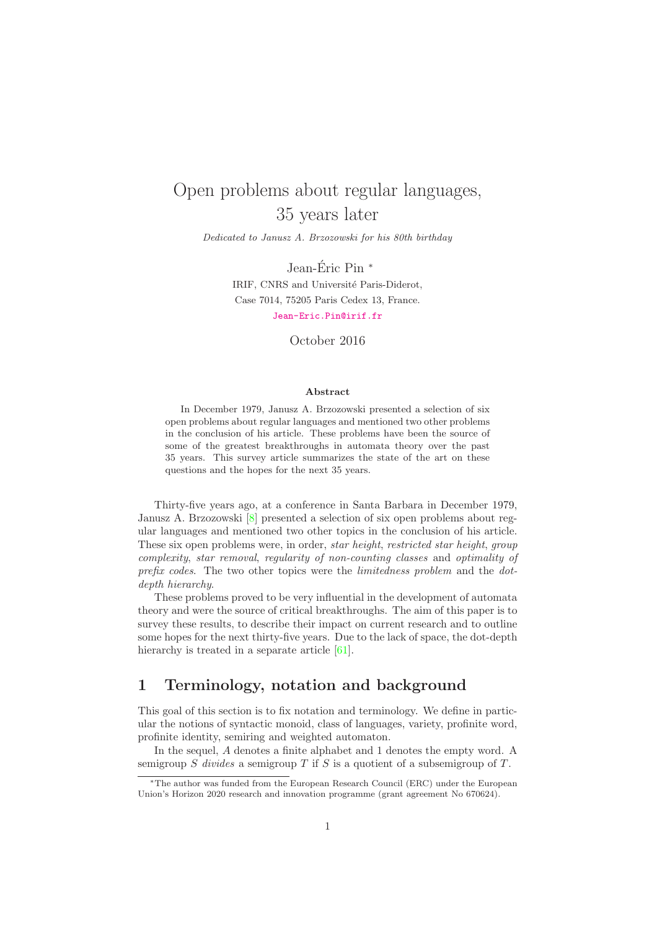# Open problems about regular languages, 35 years later

Dedicated to Janusz A. Brzozowski for his 80th birthday

Jean-Éric Pin  $*$ IRIF, CNRS and Université Paris-Diderot, Case 7014, 75205 Paris Cedex 13, France. <Jean-Eric.Pin@irif.fr>

October 2016

#### Abstract

In December 1979, Janusz A. Brzozowski presented a selection of six open problems about regular languages and mentioned two other problems in the conclusion of his article. These problems have been the source of some of the greatest breakthroughs in automata theory over the past 35 years. This survey article summarizes the state of the art on these questions and the hopes for the next 35 years.

Thirty-five years ago, at a conference in Santa Barbara in December 1979, Janusz A. Brzozowski [8] presented a selection of six open problems about regular languages and mentioned two other topics in the conclusion of his article. These six open problems were, in order, *star height*, *restricted star height*, *group complexity*, *star removal*, *regularity of non-counting classes* and *optimality of prefix codes*. The two other topics were the *limitedness problem* and the *dotdepth hierarchy*.

These problems proved to be very influential in the development of automata theory and were the source of critical breakthroughs. The aim of this paper is to survey these results, to describe their impact on current research and to outline some hopes for the next thirty-five years. Due to the lack of space, the dot-depth hierarchy is treated in a separate article [61].

## 1 Terminology, notation and background

This goal of this section is to fix notation and terminology. We define in particular the notions of syntactic monoid, class of languages, variety, profinite word, profinite identity, semiring and weighted automaton.

In the sequel, A denotes a finite alphabet and 1 denotes the empty word. A semigroup S *divides* a semigroup T if S is a quotient of a subsemigroup of T.

<sup>∗</sup>The author was funded from the European Research Council (ERC) under the European Union's Horizon 2020 research and innovation programme (grant agreement No 670624).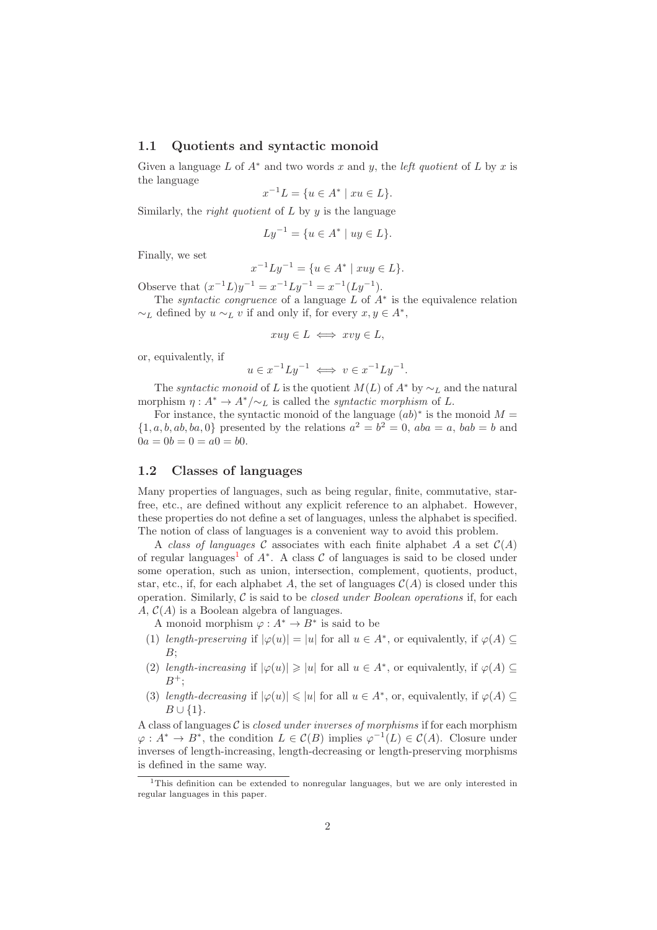#### 1.1 Quotients and syntactic monoid

Given a language L of  $A^*$  and two words x and y, the *left quotient* of L by x is the language

$$
x^{-1}L = \{ u \in A^* \mid xu \in L \}.
$$

Similarly, the *right quotient* of L by y is the language

$$
Ly^{-1} = \{ u \in A^* \mid uy \in L \}.
$$

Finally, we set

$$
x^{-1}Ly^{-1} = \{ u \in A^* \mid xuy \in L \}.
$$

Observe that  $(x^{-1}L)y^{-1} = x^{-1}Ly^{-1} = x^{-1}(Ly^{-1}).$ 

The *syntactic congruence* of a language  $L$  of  $A^*$  is the equivalence relation  $\sim_L$  defined by  $u \sim_L v$  if and only if, for every  $x, y \in A^*$ ,

$$
xuy \in L \iff xvy \in L,
$$

or, equivalently, if

$$
u \in x^{-1}Ly^{-1} \iff v \in x^{-1}Ly^{-1}.
$$

The *syntactic monoid* of L is the quotient  $M(L)$  of  $A^*$  by  $\sim_L$  and the natural morphism  $\eta: A^* \to A^*/\sim_L$  is called the *syntactic morphism* of L.

For instance, the syntactic monoid of the language  $(ab)^*$  is the monoid  $M =$  $\{1, a, b, ab, ba, 0\}$  presented by the relations  $a^2 = b^2 = 0$ ,  $aba = a$ ,  $bab = b$  and  $0a = 0b = 0 = a0 = b0.$ 

### 1.2 Classes of languages

Many properties of languages, such as being regular, finite, commutative, starfree, etc., are defined without any explicit reference to an alphabet. However, these properties do not define a set of languages, unless the alphabet is specified. The notion of class of languages is a convenient way to avoid this problem.

A *class of languages* C associates with each finite alphabet A a set  $\mathcal{C}(A)$ of regular languages<sup>1</sup> of  $A^*$ . A class  $C$  of languages is said to be closed under some operation, such as union, intersection, complement, quotients, product, star, etc., if, for each alphabet A, the set of languages  $\mathcal{C}(A)$  is closed under this operation. Similarly, C is said to be *closed under Boolean operations* if, for each A,  $C(A)$  is a Boolean algebra of languages.

A monoid morphism  $\varphi : A^* \to B^*$  is said to be

- (1) *length-preserving* if  $|\varphi(u)| = |u|$  for all  $u \in A^*$ , or equivalently, if  $\varphi(A) \subseteq$  $B$ :
- (2) *length-increasing* if  $|\varphi(u)| \geq |u|$  for all  $u \in A^*$ , or equivalently, if  $\varphi(A) \subseteq$  $B^+$ ;
- (3) *length-decreasing* if  $|\varphi(u)| \leq |u|$  for all  $u \in A^*$ , or, equivalently, if  $\varphi(A) \subseteq$  $B\cup\{1\}.$

A class of languages C is *closed under inverses of morphisms* if for each morphism  $\varphi: A^* \to B^*$ , the condition  $L \in \mathcal{C}(B)$  implies  $\varphi^{-1}(L) \in \mathcal{C}(A)$ . Closure under inverses of length-increasing, length-decreasing or length-preserving morphisms is defined in the same way.

<sup>&</sup>lt;sup>1</sup>This definition can be extended to nonregular languages, but we are only interested in regular languages in this paper.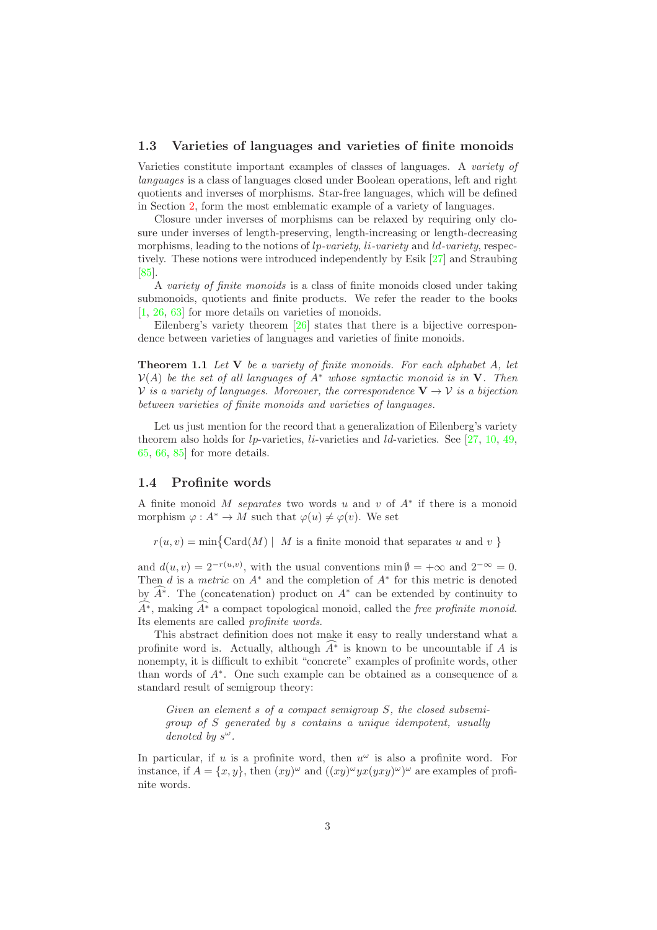#### 1.3 Varieties of languages and varieties of finite monoids

Varieties constitute important examples of classes of languages. A *variety of languages* is a class of languages closed under Boolean operations, left and right quotients and inverses of morphisms. Star-free languages, which will be defined in Section 2, form the most emblematic example of a variety of languages.

Closure under inverses of morphisms can be relaxed by requiring only closure under inverses of length-preserving, length-increasing or length-decreasing morphisms, leading to the notions of lp*-variety*, li*-variety* and ld*-variety*, respectively. These notions were introduced independently by Esik [27] and Straubing [85].

A *variety of finite monoids* is a class of finite monoids closed under taking submonoids, quotients and finite products. We refer the reader to the books [1, 26, 63] for more details on varieties of monoids.

Eilenberg's variety theorem  $[26]$  states that there is a bijective correspondence between varieties of languages and varieties of finite monoids.

Theorem 1.1 *Let* V *be a variety of finite monoids. For each alphabet* A*, let* V(A) *be the set of all languages of* A<sup>∗</sup> *whose syntactic monoid is in* V*. Then* V *is a variety of languages. Moreover, the correspondence*  $V \rightarrow V$  *is a bijection between varieties of finite monoids and varieties of languages.*

Let us just mention for the record that a generalization of Eilenberg's variety theorem also holds for  $lp$ -varieties,  $li$ -varieties and  $ld$ -varieties. See [27, 10, 49, 65, 66, 85] for more details.

#### 1.4 Profinite words

A finite monoid M *separates* two words u and v of A<sup>∗</sup> if there is a monoid morphism  $\varphi: A^* \to M$  such that  $\varphi(u) \neq \varphi(v)$ . We set

 $r(u, v) = \min\{\text{Card}(M) \mid M \text{ is a finite monoid that separates } u \text{ and } v \}$ 

and  $d(u, v) = 2^{-r(u,v)}$ , with the usual conventions  $\min \emptyset = +\infty$  and  $2^{-\infty} = 0$ . Then  $d$  is a *metric* on  $A^*$  and the completion of  $A^*$  for this metric is denoted by  $A^*$ . The (concatenation) product on  $A^*$  can be extended by continuity to  $\widehat{A^*}$ , making  $\widehat{A^*}$  a compact topological monoid, called the *free profinite monoid*. Its elements are called *profinite words*.

This abstract definition does not make it easy to really understand what a profinite word is. Actually, although  $\widehat{A^*}$  is known to be uncountable if A is nonempty, it is difficult to exhibit "concrete" examples of profinite words, other than words of A<sup>∗</sup> . One such example can be obtained as a consequence of a standard result of semigroup theory:

*Given an element* s *of a compact semigroup* S*, the closed subsemigroup of* S *generated by* s *contains a unique idempotent, usually denoted by* s ω*.*

In particular, if u is a profinite word, then  $u^{\omega}$  is also a profinite word. For instance, if  $A = \{x, y\}$ , then  $(xy)^{\omega}$  and  $((xy)^{\omega}yx(yxy)^{\omega})^{\omega}$  are examples of profinite words.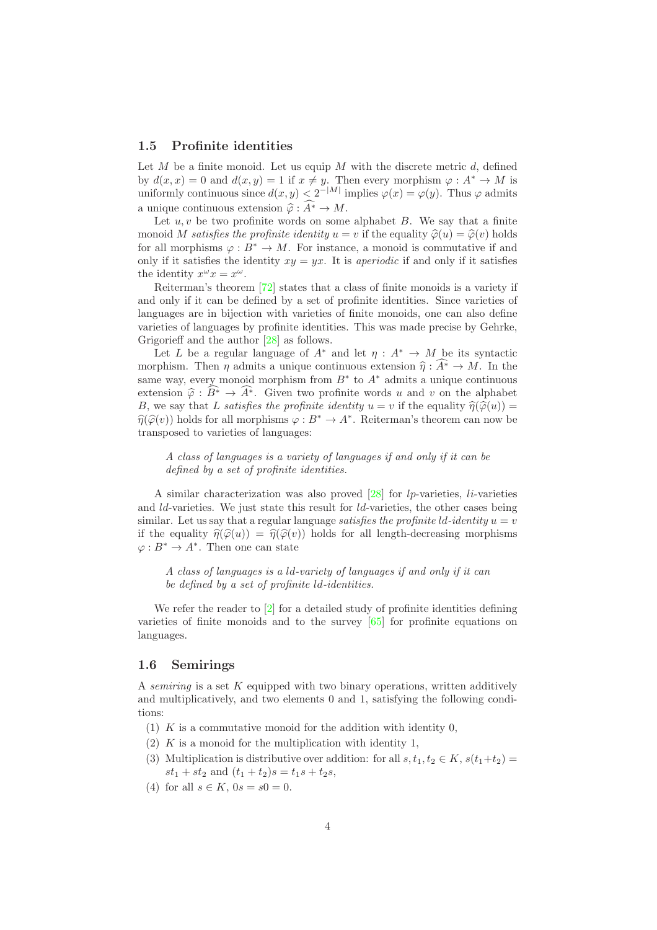### 1.5 Profinite identities

Let M be a finite monoid. Let us equip M with the discrete metric  $d$ , defined by  $d(x, x) = 0$  and  $d(x, y) = 1$  if  $x \neq y$ . Then every morphism  $\varphi : A^* \to M$  is uniformly continuous since  $d(x, y) < 2^{-|M|}$  implies  $\varphi(x) = \varphi(y)$ . Thus  $\varphi$  admits a unique continuous extension  $\hat{\varphi} : \widehat{A^*} \to M$ .

Let  $u, v$  be two profinite words on some alphabet  $B$ . We say that a finite monoid M *satisfies the profinite identity*  $u = v$  if the equality  $\hat{\varphi}(u) = \hat{\varphi}(v)$  holds for all morphisms  $\varphi : B^* \to M$ . For instance, a monoid is commutative if and only if it satisfies the identity  $x_y = y_x$ . It is *aperiodic* if and only if it satisfies the identity  $x^{\omega}x = x^{\omega}$ .

Reiterman's theorem [72] states that a class of finite monoids is a variety if and only if it can be defined by a set of profinite identities. Since varieties of languages are in bijection with varieties of finite monoids, one can also define varieties of languages by profinite identities. This was made precise by Gehrke, Grigorieff and the author [28] as follows.

Let L be a regular language of  $A^*$  and let  $\eta : A^* \to M$  be its syntactic morphism. Then  $\eta$  admits a unique continuous extension  $\hat{\eta} : A^* \to M$ . In the same way, every monoid morphism from  $B^*$  to  $A^*$  admits a unique continuous extension  $\hat{\varphi}: B^* \to A^*$ . Given two profinite words u and v on the alphabet B, we say that L *satisfies the profinite identity*  $u = v$  if the equality  $\hat{\eta}(\hat{\phi}(u)) =$  $\hat{\eta}(\hat{\varphi}(v))$  holds for all morphisms  $\varphi : B^* \to A^*$ . Reiterman's theorem can now be transposed to varieties of languages:

*A class of languages is a variety of languages if and only if it can be defined by a set of profinite identities.*

A similar characterization was also proved  $[28]$  for lp-varieties, li-varieties and  $ld$ -varieties. We just state this result for  $ld$ -varieties, the other cases being similar. Let us say that a regular language *satisfies the profinite*  $ld$ -*identity*  $u = v$ if the equality  $\hat{\eta}(\hat{\varphi}(u)) = \hat{\eta}(\hat{\varphi}(v))$  holds for all length-decreasing morphisms  $\varphi: B^* \to A^*$ . Then one can state

*A class of languages is a* ld*-variety of languages if and only if it can be defined by a set of profinite* ld*-identities.*

We refer the reader to [2] for a detailed study of profinite identities defining varieties of finite monoids and to the survey [65] for profinite equations on languages.

### 1.6 Semirings

A *semiring* is a set K equipped with two binary operations, written additively and multiplicatively, and two elements 0 and 1, satisfying the following conditions:

- (1)  $K$  is a commutative monoid for the addition with identity 0,
- $(2)$  K is a monoid for the multiplication with identity 1,
- (3) Multiplication is distributive over addition: for all  $s, t_1, t_2 \in K$ ,  $s(t_1+t_2)$  $st_1 + st_2$  and  $(t_1 + t_2)s = t_1s + t_2s$ ,
- (4) for all  $s \in K$ ,  $0s = s0 = 0$ .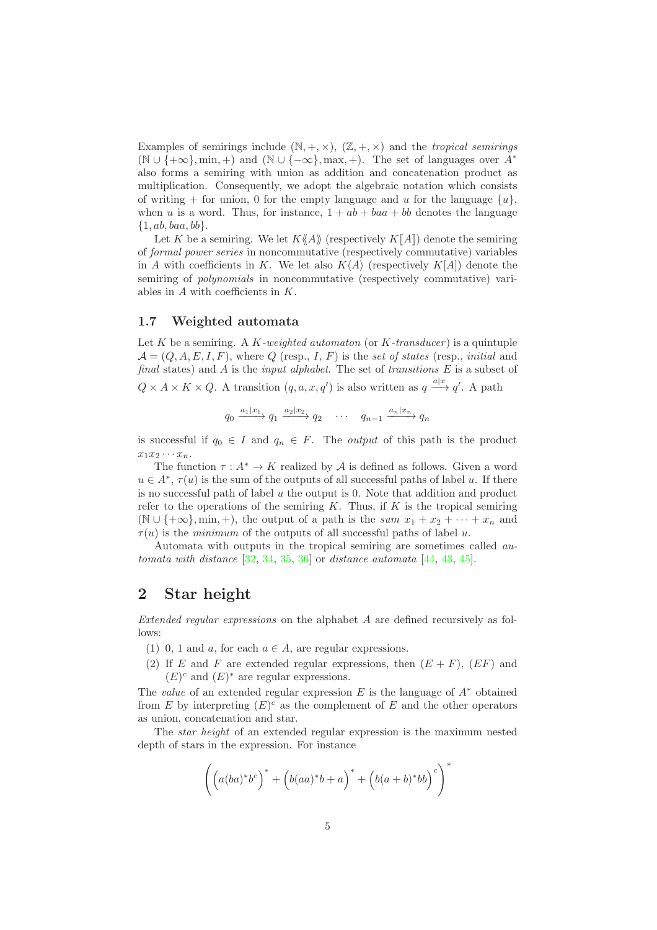Examples of semirings include  $(N, +, \times)$ ,  $(\mathbb{Z}, +, \times)$  and the *tropical semirings*  $(N \cup \{+\infty\}, \min, +)$  and  $(N \cup \{-\infty\}, \max, +)$ . The set of languages over  $A^*$ also forms a semiring with union as addition and concatenation product as multiplication. Consequently, we adopt the algebraic notation which consists of writing + for union, 0 for the empty language and u for the language  $\{u\}$ , when u is a word. Thus, for instance,  $1 + ab + ba + bb$  denotes the language  $\{1, ab, baa, bb\}.$ 

Let K be a semiring. We let  $K\langle A \rangle$  (respectively  $K\langle A \rangle$ ) denote the semiring of *formal power series* in noncommutative (respectively commutative) variables in A with coefficients in K. We let also  $K\langle A \rangle$  (respectively  $K[A]$ ) denote the semiring of *polynomials* in noncommutative (respectively commutative) variables in  $A$  with coefficients in  $K$ .

### 1.7 Weighted automata

Let K be a semiring. A K*-weighted automaton* (or K*-transducer* ) is a quintuple  $\mathcal{A} = (Q, A, E, I, F)$ , where Q (resp., I, F) is the *set of states* (resp., *initial* and *final* states) and A is the *input alphabet*. The set of *transitions* E is a subset of

 $Q \times A \times K \times Q$ . A transition  $(q, a, x, q')$  is also written as  $q \stackrel{a|x}{\longrightarrow} q'$ . A path

$$
q_0 \xrightarrow{a_1|x_1} q_1 \xrightarrow{a_2|x_2} q_2 \cdots \cdots q_{n-1} \xrightarrow{a_n|x_n} q_n
$$

is successful if  $q_0 \in I$  and  $q_n \in F$ . The *output* of this path is the product  $x_1x_2\cdots x_n$ .

The function  $\tau : A^* \to K$  realized by A is defined as follows. Given a word  $u \in A^*, \tau(u)$  is the sum of the outputs of all successful paths of label u. If there is no successful path of label  $u$  the output is 0. Note that addition and product refer to the operations of the semiring  $K$ . Thus, if  $K$  is the tropical semiring (N ∪ {+ $\infty$ }, min, +), the output of a path is the *sum*  $x_1 + x_2 + \cdots + x_n$  and  $\tau(u)$  is the *minimum* of the outputs of all successful paths of label u.

Automata with outputs in the tropical semiring are sometimes called *automata with distance* [32, 34, 35, 36] or *distance automata* [44, 43, 45].

## 2 Star height

*Extended regular expressions* on the alphabet A are defined recursively as follows:

- (1) 0, 1 and a, for each  $a \in A$ , are regular expressions.
- (2) If E and F are extended regular expressions, then  $(E + F)$ ,  $(EF)$  and  $(E)^c$  and  $(E)^*$  are regular expressions.

The *value* of an extended regular expression  $E$  is the language of  $A^*$  obtained from  $E$  by interpreting  $(E)^c$  as the complement of  $E$  and the other operators as union, concatenation and star.

The *star height* of an extended regular expression is the maximum nested depth of stars in the expression. For instance

$$
\left(\left(a(ba)^*b^c\right)^* + \left(b(aa)^*b + a\right)^* + \left(b(a+b)^*bb\right)^c\right)^*
$$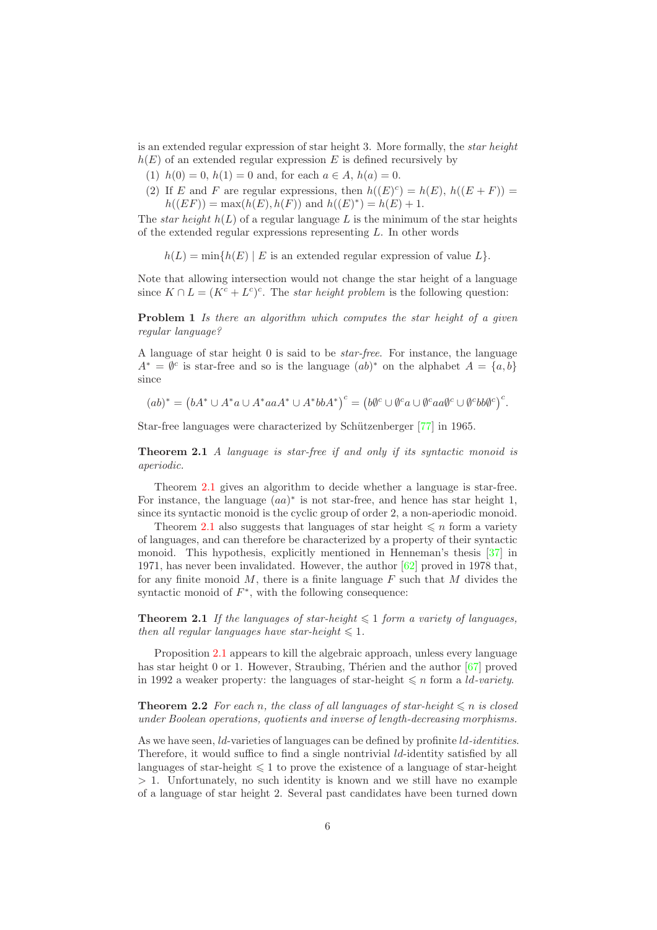is an extended regular expression of star height 3. More formally, the *star height*  $h(E)$  of an extended regular expression E is defined recursively by

- (1)  $h(0) = 0$ ,  $h(1) = 0$  and, for each  $a \in A$ ,  $h(a) = 0$ .
- (2) If E and F are regular expressions, then  $h((E)^c) = h(E)$ ,  $h((E+F)) =$  $h((EF)) = \max(h(E), h(F))$  and  $h((E)^*) = h(E) + 1$ .

The *star height*  $h(L)$  of a regular language L is the minimum of the star heights of the extended regular expressions representing L. In other words

 $h(L) = \min\{h(E) | E$  is an extended regular expression of value  $L\}$ .

Note that allowing intersection would not change the star height of a language since  $K \cap L = (K^c + L^c)^c$ . The *star height problem* is the following question:

Problem 1 *Is there an algorithm which computes the star height of a given regular language?*

A language of star height 0 is said to be *star-free*. For instance, the language  $A^* = \emptyset^c$  is star-free and so is the language  $(ab)^*$  on the alphabet  $A = \{a, b\}$ since

 $(ab)^* = (bA^* \cup A^*a \cup A^*aaA^* \cup A^*bbA^*)^c = (b\emptyset^c \cup \emptyset^c a \cup \emptyset^c aa \emptyset^c \cup \emptyset^c bb \emptyset^c)^c.$ 

Star-free languages were characterized by Schützenberger [77] in 1965.

Theorem 2.1 *A language is star-free if and only if its syntactic monoid is aperiodic.*

Theorem 2.1 gives an algorithm to decide whether a language is star-free. For instance, the language  $(aa)^*$  is not star-free, and hence has star height 1, since its syntactic monoid is the cyclic group of order 2, a non-aperiodic monoid.

Theorem 2.1 also suggests that languages of star height  $\leq n$  form a variety of languages, and can therefore be characterized by a property of their syntactic monoid. This hypothesis, explicitly mentioned in Henneman's thesis [37] in 1971, has never been invalidated. However, the author [62] proved in 1978 that, for any finite monoid  $M$ , there is a finite language  $F$  such that  $M$  divides the syntactic monoid of  $F^*$ , with the following consequence:

**Theorem 2.1** *If the languages of star-height*  $\leq 1$  *form a variety of languages, then all regular languages have star-height*  $\leq 1$ *.* 

Proposition 2.1 appears to kill the algebraic approach, unless every language has star height 0 or 1. However, Straubing, Thérien and the author  $[67]$  proved in 1992 a weaker property: the languages of star-height  $\leq n$  form a *ld-variety*.

**Theorem 2.2** *For each n, the class of all languages of star-height*  $\leq n$  *is closed under Boolean operations, quotients and inverse of length-decreasing morphisms.*

As we have seen, ld-varieties of languages can be defined by profinite ld*-identities*. Therefore, it would suffice to find a single nontrivial *ld*-identity satisfied by all languages of star-height  $\leq 1$  to prove the existence of a language of star-height > 1. Unfortunately, no such identity is known and we still have no example of a language of star height 2. Several past candidates have been turned down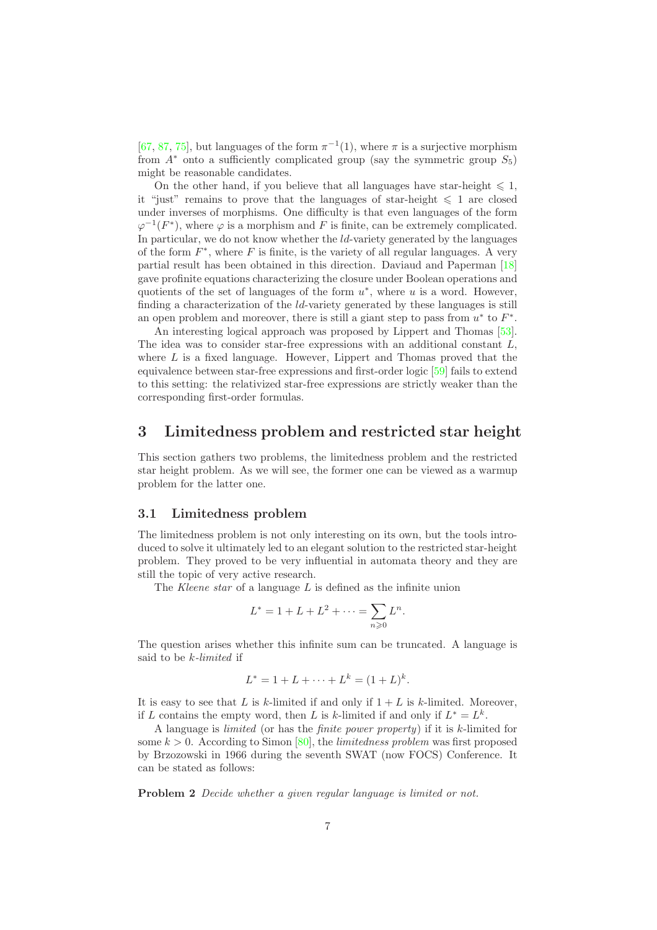[67, 87, 75], but languages of the form  $\pi^{-1}(1)$ , where  $\pi$  is a surjective morphism from  $A^*$  onto a sufficiently complicated group (say the symmetric group  $S_5$ ) might be reasonable candidates.

On the other hand, if you believe that all languages have star-height  $\leq 1$ , it "just" remains to prove that the languages of star-height  $\leq 1$  are closed under inverses of morphisms. One difficulty is that even languages of the form  $\varphi^{-1}(F^*)$ , where  $\varphi$  is a morphism and F is finite, can be extremely complicated. In particular, we do not know whether the  $ld$ -variety generated by the languages of the form  $F^*$ , where  $F$  is finite, is the variety of all regular languages. A very partial result has been obtained in this direction. Daviaud and Paperman [18] gave profinite equations characterizing the closure under Boolean operations and quotients of the set of languages of the form  $u^*$ , where u is a word. However, finding a characterization of the *ld*-variety generated by these languages is still an open problem and moreover, there is still a giant step to pass from  $u^*$  to  $F^*$ .

An interesting logical approach was proposed by Lippert and Thomas [53]. The idea was to consider star-free expressions with an additional constant  $L$ , where  $L$  is a fixed language. However, Lippert and Thomas proved that the equivalence between star-free expressions and first-order logic [59] fails to extend to this setting: the relativized star-free expressions are strictly weaker than the corresponding first-order formulas.

## 3 Limitedness problem and restricted star height

This section gathers two problems, the limitedness problem and the restricted star height problem. As we will see, the former one can be viewed as a warmup problem for the latter one.

#### 3.1 Limitedness problem

The limitedness problem is not only interesting on its own, but the tools introduced to solve it ultimately led to an elegant solution to the restricted star-height problem. They proved to be very influential in automata theory and they are still the topic of very active research.

The *Kleene star* of a language L is defined as the infinite union

$$
L^* = 1 + L + L^2 + \dots = \sum_{n \ge 0} L^n.
$$

The question arises whether this infinite sum can be truncated. A language is said to be k*-limited* if

$$
L^* = 1 + L + \dots + L^k = (1 + L)^k.
$$

It is easy to see that L is k-limited if and only if  $1 + L$  is k-limited. Moreover, if L contains the empty word, then L is k-limited if and only if  $L^* = L^k$ .

A language is *limited* (or has the *finite power property*) if it is k-limited for some  $k > 0$ . According to Simon [80], the *limitedness problem* was first proposed by Brzozowski in 1966 during the seventh SWAT (now FOCS) Conference. It can be stated as follows:

Problem 2 *Decide whether a given regular language is limited or not.*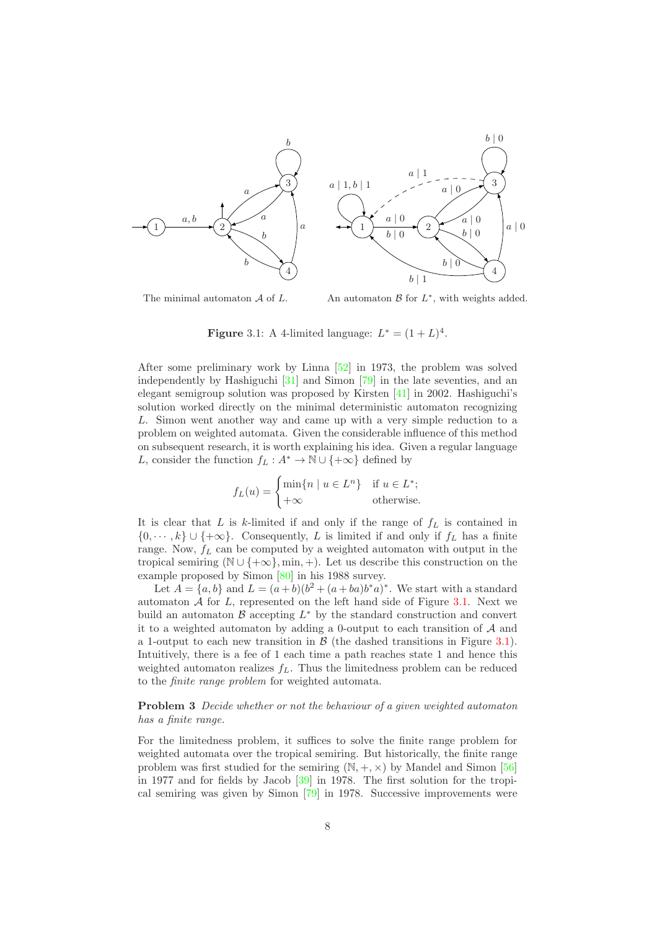

The minimal automaton  $A$  of  $L$ .

An automaton  $\mathcal{B}$  for  $L^*$ , with weights added.

**Figure** 3.1: A 4-limited language:  $L^* = (1 + L)^4$ .

After some preliminary work by Linna [52] in 1973, the problem was solved independently by Hashiguchi [31] and Simon [79] in the late seventies, and an elegant semigroup solution was proposed by Kirsten  $[41]$  in 2002. Hashiguchi's solution worked directly on the minimal deterministic automaton recognizing L. Simon went another way and came up with a very simple reduction to a problem on weighted automata. Given the considerable influence of this method on subsequent research, it is worth explaining his idea. Given a regular language L, consider the function  $f_L : A^* \to \mathbb{N} \cup \{+\infty\}$  defined by

$$
f_L(u) = \begin{cases} \min\{n \mid u \in L^n\} & \text{if } u \in L^*; \\ +\infty & \text{otherwise.} \end{cases}
$$

It is clear that  $L$  is  $k$ -limited if and only if the range of  $f_L$  is contained in  $\{0, \dots, k\} \cup \{\pm \infty\}.$  Consequently, L is limited if and only if  $f_L$  has a finite range. Now,  $f_L$  can be computed by a weighted automaton with output in the tropical semiring ( $\mathbb{N} \cup \{+\infty\}$ , min, +). Let us describe this construction on the example proposed by Simon [80] in his 1988 survey.

Let  $A = \{a, b\}$  and  $L = (a+b)(b^2 + (a+ba)b^*a)^*$ . We start with a standard automaton  $A$  for  $L$ , represented on the left hand side of Figure 3.1. Next we build an automaton  $\mathcal B$  accepting  $L^*$  by the standard construction and convert it to a weighted automaton by adding a 0-output to each transition of  $A$  and a 1-output to each new transition in  $\beta$  (the dashed transitions in Figure 3.1). Intuitively, there is a fee of 1 each time a path reaches state 1 and hence this weighted automaton realizes  $f<sub>L</sub>$ . Thus the limitedness problem can be reduced to the *finite range problem* for weighted automata.

Problem 3 *Decide whether or not the behaviour of a given weighted automaton has a finite range.*

For the limitedness problem, it suffices to solve the finite range problem for weighted automata over the tropical semiring. But historically, the finite range problem was first studied for the semiring  $(N, +, \times)$  by Mandel and Simon [56] in 1977 and for fields by Jacob [39] in 1978. The first solution for the tropical semiring was given by Simon [79] in 1978. Successive improvements were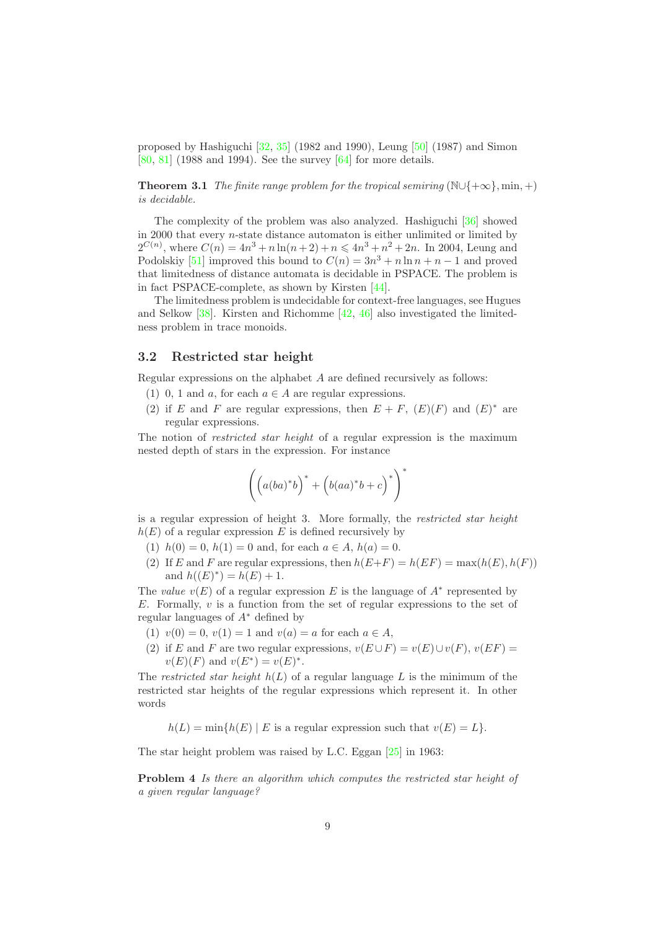proposed by Hashiguchi  $[32, 35]$  (1982 and 1990), Leung  $[50]$  (1987) and Simon [80, 81] (1988 and 1994). See the survey [64] for more details.

**Theorem 3.1** *The finite range problem for the tropical semiring* ( $\mathbb{N}\cup\{+\infty\}$ , min, +) *is decidable.*

The complexity of the problem was also analyzed. Hashiguchi [36] showed in 2000 that every n-state distance automaton is either unlimited or limited by  $2^{C(n)}$ , where  $C(n) = 4n^3 + n \ln(n+2) + n \leq 4n^3 + n^2 + 2n$ . In 2004, Leung and Podolskiy [51] improved this bound to  $C(n) = 3n^3 + n \ln n + n - 1$  and proved that limitedness of distance automata is decidable in PSPACE. The problem is in fact PSPACE-complete, as shown by Kirsten [44].

The limitedness problem is undecidable for context-free languages, see Hugues and Selkow [38]. Kirsten and Richomme [42, 46] also investigated the limitedness problem in trace monoids.

### 3.2 Restricted star height

Regular expressions on the alphabet A are defined recursively as follows:

- (1) 0, 1 and a, for each  $a \in A$  are regular expressions.
- (2) if E and F are regular expressions, then  $E + F$ ,  $(E)(F)$  and  $(E)^*$  are regular expressions.

The notion of *restricted star height* of a regular expression is the maximum nested depth of stars in the expression. For instance

$$
\left(\left(a(ba)^{*}b\right)^{*}+\left(b(aa)^{*}b+c\right)^{*}\right)^{*}
$$

is a regular expression of height 3. More formally, the *restricted star height*  $h(E)$  of a regular expression E is defined recursively by

- (1)  $h(0) = 0$ ,  $h(1) = 0$  and, for each  $a \in A$ ,  $h(a) = 0$ .
- (2) If E and F are regular expressions, then  $h(E+F) = h(EF) = \max(h(E), h(F))$ and  $h((E)^*) = h(E) + 1$ .

The *value*  $v(E)$  of a regular expression E is the language of  $A^*$  represented by E. Formally,  $v$  is a function from the set of regular expressions to the set of regular languages of A<sup>∗</sup> defined by

- (1)  $v(0) = 0$ ,  $v(1) = 1$  and  $v(a) = a$  for each  $a \in A$ ,
- (2) if E and F are two regular expressions,  $v(E \cup F) = v(E) \cup v(F)$ ,  $v(EF) =$  $v(E)(F)$  and  $v(E^*) = v(E)^*$ .

The *restricted star height*  $h(L)$  of a regular language L is the minimum of the restricted star heights of the regular expressions which represent it. In other words

 $h(L) = \min\{h(E) \mid E \text{ is a regular expression such that } v(E) = L\}.$ 

The star height problem was raised by L.C. Eggan [25] in 1963:

Problem 4 *Is there an algorithm which computes the restricted star height of a given regular language?*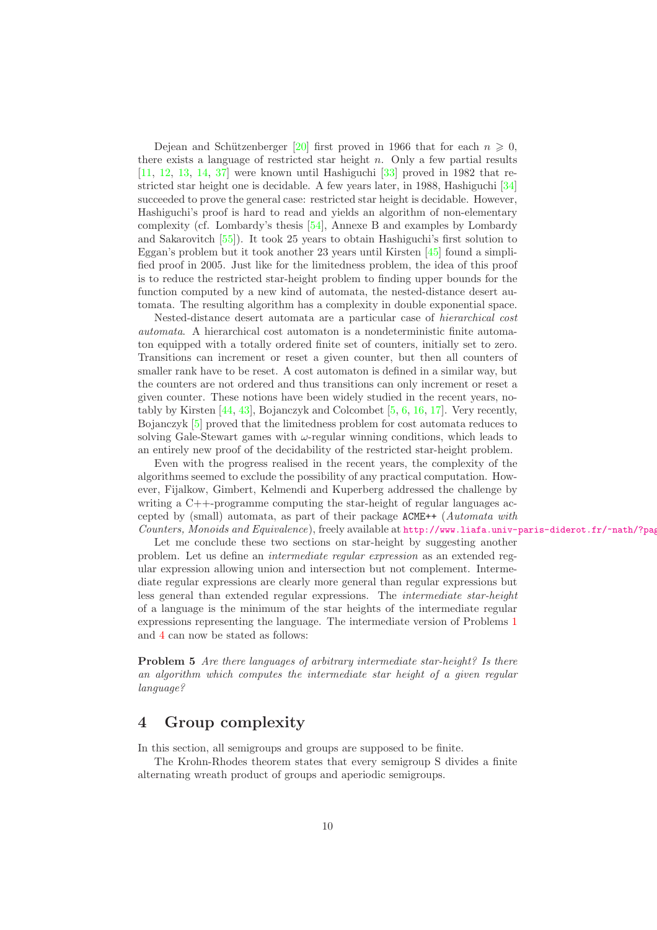Dejean and Schützenberger [20] first proved in 1966 that for each  $n \geq 0$ , there exists a language of restricted star height  $n$ . Only a few partial results [11, 12, 13, 14, 37] were known until Hashiguchi [33] proved in 1982 that restricted star height one is decidable. A few years later, in 1988, Hashiguchi [34] succeeded to prove the general case: restricted star height is decidable. However, Hashiguchi's proof is hard to read and yields an algorithm of non-elementary complexity (cf. Lombardy's thesis [54], Annexe B and examples by Lombardy and Sakarovitch [55]). It took 25 years to obtain Hashiguchi's first solution to Eggan's problem but it took another 23 years until Kirsten [45] found a simplified proof in 2005. Just like for the limitedness problem, the idea of this proof is to reduce the restricted star-height problem to finding upper bounds for the function computed by a new kind of automata, the nested-distance desert automata. The resulting algorithm has a complexity in double exponential space.

Nested-distance desert automata are a particular case of *hierarchical cost automata*. A hierarchical cost automaton is a nondeterministic finite automaton equipped with a totally ordered finite set of counters, initially set to zero. Transitions can increment or reset a given counter, but then all counters of smaller rank have to be reset. A cost automaton is defined in a similar way, but the counters are not ordered and thus transitions can only increment or reset a given counter. These notions have been widely studied in the recent years, notably by Kirsten [44, 43], Bojanczyk and Colcombet [5, 6, 16, 17]. Very recently, Bojanczyk [5] proved that the limitedness problem for cost automata reduces to solving Gale-Stewart games with  $\omega$ -regular winning conditions, which leads to an entirely new proof of the decidability of the restricted star-height problem.

Even with the progress realised in the recent years, the complexity of the algorithms seemed to exclude the possibility of any practical computation. However, Fijalkow, Gimbert, Kelmendi and Kuperberg addressed the challenge by writing a C++-programme computing the star-height of regular languages accepted by (small) automata, as part of their package ACME++ (*Automata with Counters, Monoids and Equivalence*), freely available at http://www.liafa.univ-paris-diderot.fr/~nath/?pag

Let me conclude these two sections on star-height by suggesting another problem. Let us define an *intermediate regular expression* as an extended regular expression allowing union and intersection but not complement. Intermediate regular expressions are clearly more general than regular expressions but less general than extended regular expressions. The *intermediate star-height* of a language is the minimum of the star heights of the intermediate regular expressions representing the language. The intermediate version of Problems 1 and 4 can now be stated as follows:

Problem 5 *Are there languages of arbitrary intermediate star-height? Is there an algorithm which computes the intermediate star height of a given regular language?*

## 4 Group complexity

In this section, all semigroups and groups are supposed to be finite.

The Krohn-Rhodes theorem states that every semigroup S divides a finite alternating wreath product of groups and aperiodic semigroups.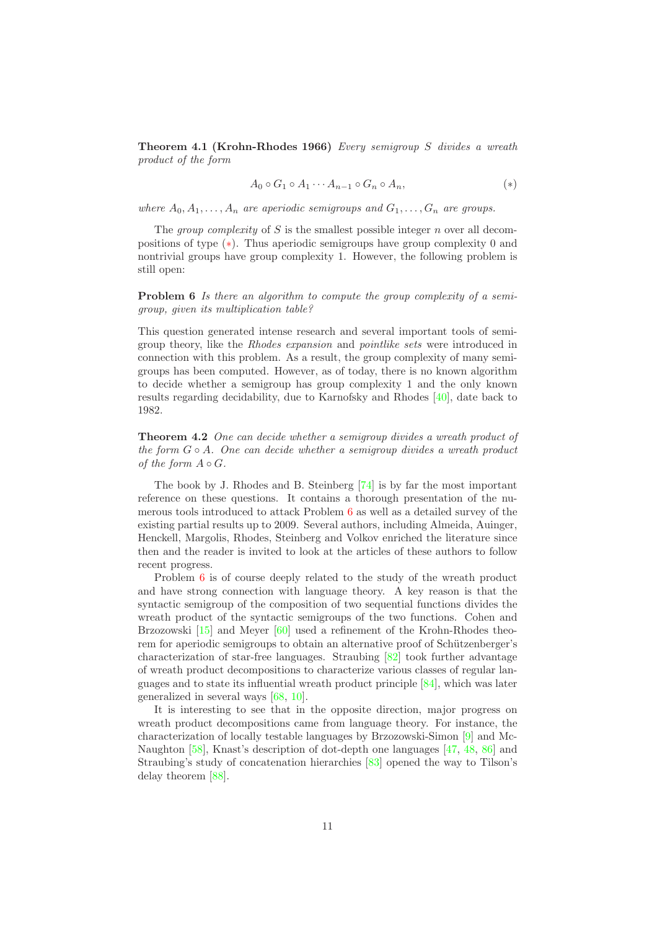Theorem 4.1 (Krohn-Rhodes 1966) *Every semigroup* S *divides a wreath product of the form*

$$
A_0 \circ G_1 \circ A_1 \cdots A_{n-1} \circ G_n \circ A_n, \tag{*}
$$

*where*  $A_0, A_1, \ldots, A_n$  *are aperiodic semigroups and*  $G_1, \ldots, G_n$  *are groups.* 

The *group complexity* of S is the smallest possible integer n over all decompositions of type (∗). Thus aperiodic semigroups have group complexity 0 and nontrivial groups have group complexity 1. However, the following problem is still open:

Problem 6 *Is there an algorithm to compute the group complexity of a semigroup, given its multiplication table?*

This question generated intense research and several important tools of semigroup theory, like the *Rhodes expansion* and *pointlike sets* were introduced in connection with this problem. As a result, the group complexity of many semigroups has been computed. However, as of today, there is no known algorithm to decide whether a semigroup has group complexity 1 and the only known results regarding decidability, due to Karnofsky and Rhodes [40], date back to 1982.

Theorem 4.2 *One can decide whether a semigroup divides a wreath product of the form* G ◦ A*. One can decide whether a semigroup divides a wreath product of the form*  $A \circ G$ *.* 

The book by J. Rhodes and B. Steinberg [74] is by far the most important reference on these questions. It contains a thorough presentation of the numerous tools introduced to attack Problem 6 as well as a detailed survey of the existing partial results up to 2009. Several authors, including Almeida, Auinger, Henckell, Margolis, Rhodes, Steinberg and Volkov enriched the literature since then and the reader is invited to look at the articles of these authors to follow recent progress.

Problem 6 is of course deeply related to the study of the wreath product and have strong connection with language theory. A key reason is that the syntactic semigroup of the composition of two sequential functions divides the wreath product of the syntactic semigroups of the two functions. Cohen and Brzozowski [15] and Meyer [60] used a refinement of the Krohn-Rhodes theorem for aperiodic semigroups to obtain an alternative proof of Schützenberger's characterization of star-free languages. Straubing [82] took further advantage of wreath product decompositions to characterize various classes of regular languages and to state its influential wreath product principle [84], which was later generalized in several ways [68, 10].

It is interesting to see that in the opposite direction, major progress on wreath product decompositions came from language theory. For instance, the characterization of locally testable languages by Brzozowski-Simon [9] and Mc-Naughton [58], Knast's description of dot-depth one languages [47, 48, 86] and Straubing's study of concatenation hierarchies [83] opened the way to Tilson's delay theorem [88].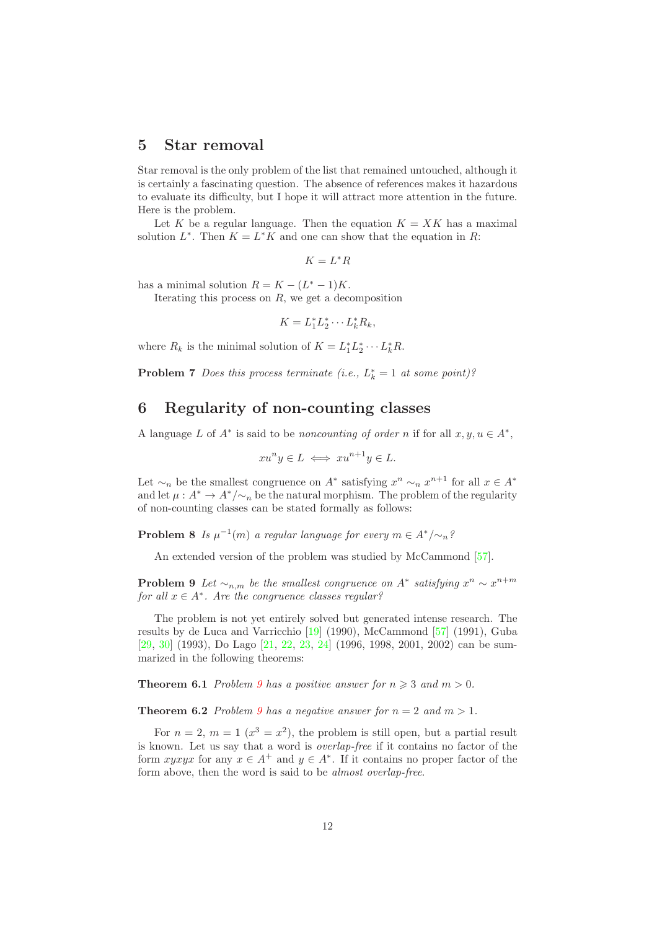## 5 Star removal

Star removal is the only problem of the list that remained untouched, although it is certainly a fascinating question. The absence of references makes it hazardous to evaluate its difficulty, but I hope it will attract more attention in the future. Here is the problem.

Let K be a regular language. Then the equation  $K = XK$  has a maximal solution  $L^*$ . Then  $K = L^*K$  and one can show that the equation in R:

$$
K=L^*R
$$

has a minimal solution  $R = K - (L^* - 1)K$ .

Iterating this process on  $R$ , we get a decomposition

$$
K = L_1^* L_2^* \cdots L_k^* R_k,
$$

where  $R_k$  is the minimal solution of  $K = L_1^* L_2^* \cdots L_k^* R$ .

**Problem 7** *Does this process terminate (i.e.,*  $L_k^* = 1$  *at some point)?* 

## 6 Regularity of non-counting classes

A language L of  $A^*$  is said to be *noncounting of order* n if for all  $x, y, u \in A^*$ ,

$$
xu^n y \in L \iff xu^{n+1}y \in L.
$$

Let  $\sim_n$  be the smallest congruence on  $A^*$  satisfying  $x^n \sim_n x^{n+1}$  for all  $x \in A^*$ and let  $\mu: A^* \to A^*/\sim_n$  be the natural morphism. The problem of the regularity of non-counting classes can be stated formally as follows:

**Problem 8** *Is*  $\mu^{-1}(m)$  *a regular language for every*  $m \in A^*/\sim_n$ ?

An extended version of the problem was studied by McCammond [57].

**Problem 9** Let  $\sim_{n,m}$  be the smallest congruence on  $A^*$  satisfying  $x^n \sim x^{n+m}$ *for all* x ∈ A<sup>∗</sup> *. Are the congruence classes regular?*

The problem is not yet entirely solved but generated intense research. The results by de Luca and Varricchio [19] (1990), McCammond [57] (1991), Guba [29, 30] (1993), Do Lago [21, 22, 23, 24] (1996, 1998, 2001, 2002) can be summarized in the following theorems:

**Theorem 6.1** *Problem* 9 *has a positive answer for*  $n \geq 3$  *and*  $m > 0$ *.* 

**Theorem 6.2** *Problem 9 has a negative answer for*  $n = 2$  *and*  $m > 1$ *.* 

For  $n = 2$ ,  $m = 1$   $(x^3 = x^2)$ , the problem is still open, but a partial result is known. Let us say that a word is *overlap-free* if it contains no factor of the form xyxyx for any  $x \in A^+$  and  $y \in A^*$ . If it contains no proper factor of the form above, then the word is said to be *almost overlap-free*.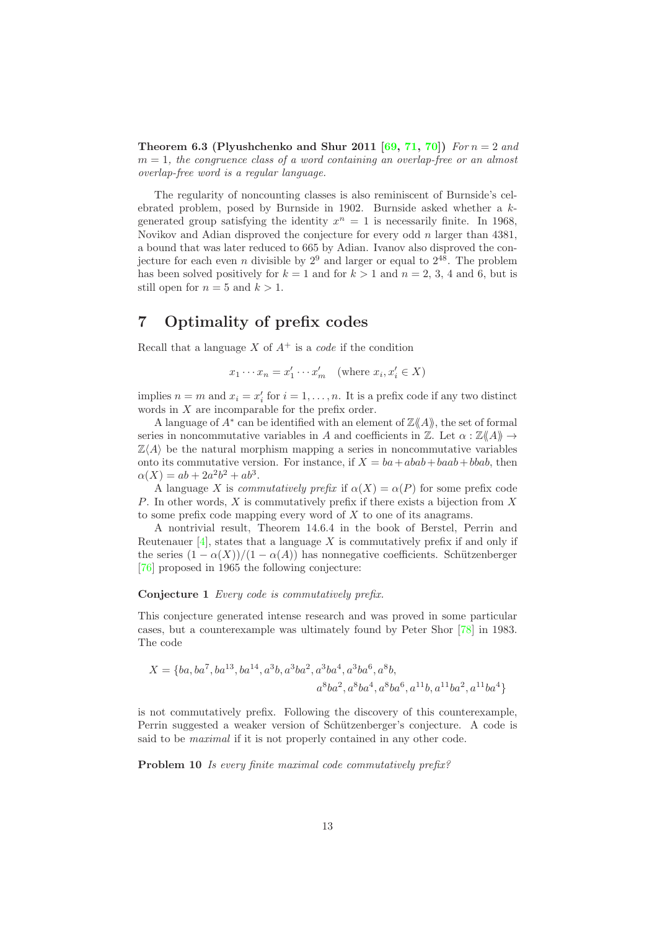**Theorem 6.3 (Plyushchenko and Shur 2011 [69, 71, 70])** *For*  $n = 2$  *and* m = 1*, the congruence class of a word containing an overlap-free or an almost overlap-free word is a regular language.*

The regularity of noncounting classes is also reminiscent of Burnside's celebrated problem, posed by Burnside in 1902. Burnside asked whether a kgenerated group satisfying the identity  $x^n = 1$  is necessarily finite. In 1968, Novikov and Adian disproved the conjecture for every odd  $n$  larger than 4381, a bound that was later reduced to 665 by Adian. Ivanov also disproved the conjecture for each even *n* divisible by  $2^9$  and larger or equal to  $2^{48}$ . The problem has been solved positively for  $k = 1$  and for  $k > 1$  and  $n = 2, 3, 4$  and 6, but is still open for  $n = 5$  and  $k > 1$ .

## 7 Optimality of prefix codes

Recall that a language X of  $A^+$  is a *code* if the condition

$$
x_1 \cdots x_n = x'_1 \cdots x'_m \quad \text{(where } x_i, x'_i \in X)
$$

implies  $n = m$  and  $x_i = x'_i$  for  $i = 1, ..., n$ . It is a prefix code if any two distinct words in X are incomparable for the prefix order.

A language of  $A^*$  can be identified with an element of  $\mathbb{Z}\langle \mathcal{A} \rangle$ , the set of formal series in noncommutative variables in A and coefficients in  $\mathbb{Z}$ . Let  $\alpha : \mathbb{Z}\langle\!\langle A \rangle\!\rangle \rightarrow$  $\mathbb{Z}\langle A \rangle$  be the natural morphism mapping a series in noncommutative variables onto its commutative version. For instance, if  $X = ba + abab + baab + bbab$ , then  $\alpha(X) = ab + 2a^2b^2 + ab^3.$ 

A language X is *commutatively prefix* if  $\alpha(X) = \alpha(P)$  for some prefix code P. In other words, X is commutatively prefix if there exists a bijection from X to some prefix code mapping every word of  $X$  to one of its anagrams.

A nontrivial result, Theorem 14.6.4 in the book of Berstel, Perrin and Reutenauer  $[4]$ , states that a language X is commutatively prefix if and only if the series  $(1 - \alpha(X))/(1 - \alpha(A))$  has nonnegative coefficients. Schützenberger [76] proposed in 1965 the following conjecture:

#### Conjecture 1 *Every code is commutatively prefix.*

This conjecture generated intense research and was proved in some particular cases, but a counterexample was ultimately found by Peter Shor [78] in 1983. The code

$$
X = \{ba, ba^7, ba^{13}, ba^{14}, a^3b, a^3ba^2, a^3ba^4, a^3ba^6, a^8b, a^8ba^6, a^{11}b, a^{11}ba^2, a^{11}ba^4\}
$$

is not commutatively prefix. Following the discovery of this counterexample, Perrin suggested a weaker version of Schützenberger's conjecture. A code is said to be *maximal* if it is not properly contained in any other code.

Problem 10 *Is every finite maximal code commutatively prefix?*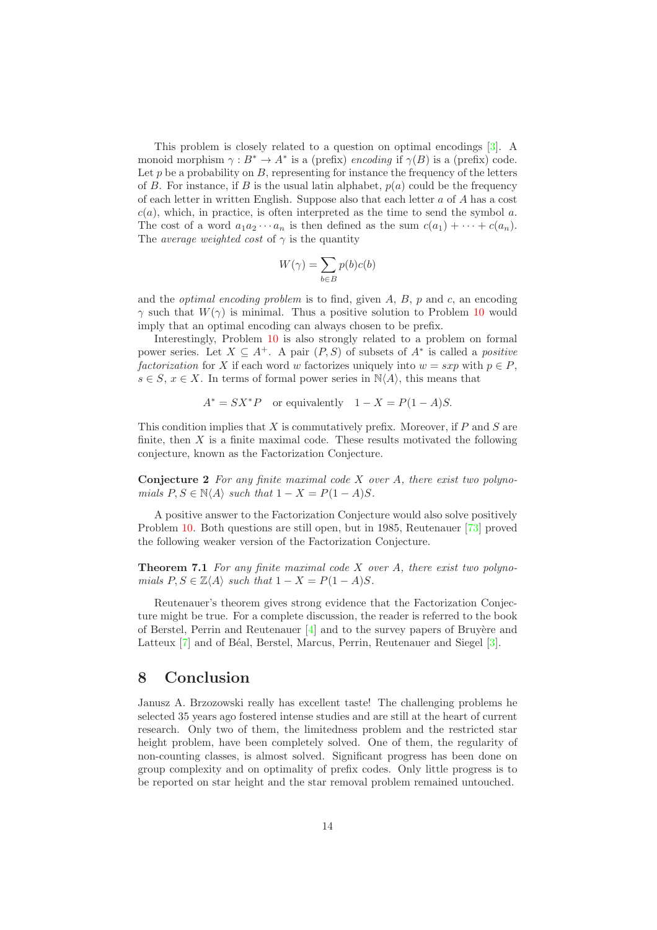This problem is closely related to a question on optimal encodings [3]. A monoid morphism  $\gamma : B^* \to A^*$  is a (prefix) *encoding* if  $\gamma(B)$  is a (prefix) code. Let p be a probability on  $B$ , representing for instance the frequency of the letters of B. For instance, if B is the usual latin alphabet,  $p(a)$  could be the frequency of each letter in written English. Suppose also that each letter a of A has a cost  $c(a)$ , which, in practice, is often interpreted as the time to send the symbol a. The cost of a word  $a_1a_2\cdots a_n$  is then defined as the sum  $c(a_1)+\cdots+c(a_n)$ . The *average weighted cost* of  $\gamma$  is the quantity

$$
W(\gamma) = \sum_{b \in B} p(b)c(b)
$$

and the *optimal encoding problem* is to find, given A, B, p and c, an encoding  $\gamma$  such that  $W(\gamma)$  is minimal. Thus a positive solution to Problem 10 would imply that an optimal encoding can always chosen to be prefix.

Interestingly, Problem 10 is also strongly related to a problem on formal power series. Let  $X \subseteq A^+$ . A pair  $(P, S)$  of subsets of  $A^*$  is called a *positive factorization* for X if each word w factorizes uniquely into  $w = sxy$  with  $p \in P$ ,  $s \in S$ ,  $x \in X$ . In terms of formal power series in  $\mathbb{N}\langle A \rangle$ , this means that

$$
A^* = SX^*P \quad \text{or equivalently} \quad 1 - X = P(1 - A)S.
$$

This condition implies that  $X$  is commutatively prefix. Moreover, if  $P$  and  $S$  are finite, then  $X$  is a finite maximal code. These results motivated the following conjecture, known as the Factorization Conjecture.

Conjecture 2 *For any finite maximal code* X *over* A*, there exist two polynomials*  $P, S \in \mathbb{N} \langle A \rangle$  *such that*  $1 - X = P(1 - A)S$ .

A positive answer to the Factorization Conjecture would also solve positively Problem 10. Both questions are still open, but in 1985, Reutenauer [73] proved the following weaker version of the Factorization Conjecture.

Theorem 7.1 *For any finite maximal code* X *over* A*, there exist two polynomials*  $P, S \in \mathbb{Z}\langle A \rangle$  *such that*  $1 - X = P(1 - A)S$ *.* 

Reutenauer's theorem gives strong evidence that the Factorization Conjecture might be true. For a complete discussion, the reader is referred to the book of Berstel, Perrin and Reutenauer  $[4]$  and to the survey papers of Bruyère and Latteux [7] and of Béal, Berstel, Marcus, Perrin, Reutenauer and Siegel [3].

## 8 Conclusion

Janusz A. Brzozowski really has excellent taste! The challenging problems he selected 35 years ago fostered intense studies and are still at the heart of current research. Only two of them, the limitedness problem and the restricted star height problem, have been completely solved. One of them, the regularity of non-counting classes, is almost solved. Significant progress has been done on group complexity and on optimality of prefix codes. Only little progress is to be reported on star height and the star removal problem remained untouched.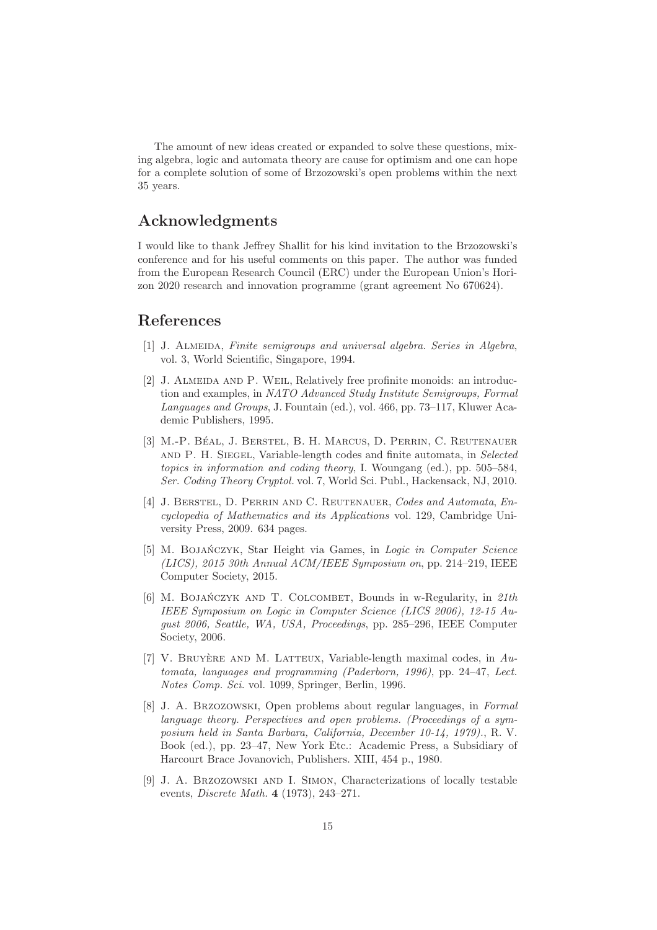The amount of new ideas created or expanded to solve these questions, mixing algebra, logic and automata theory are cause for optimism and one can hope for a complete solution of some of Brzozowski's open problems within the next 35 years.

## Acknowledgments

I would like to thank Jeffrey Shallit for his kind invitation to the Brzozowski's conference and for his useful comments on this paper. The author was funded from the European Research Council (ERC) under the European Union's Horizon 2020 research and innovation programme (grant agreement No 670624).

## References

- [1] J. Almeida, *Finite semigroups and universal algebra. Series in Algebra*, vol. 3, World Scientific, Singapore, 1994.
- [2] J. Almeida and P. Weil, Relatively free profinite monoids: an introduction and examples, in *NATO Advanced Study Institute Semigroups, Formal Languages and Groups*, J. Fountain (ed.), vol. 466, pp. 73–117, Kluwer Academic Publishers, 1995.
- [3] M.-P. BÉAL, J. BERSTEL, B. H. MARCUS, D. PERRIN, C. REUTENAUER and P. H. Siegel, Variable-length codes and finite automata, in *Selected topics in information and coding theory*, I. Woungang (ed.), pp. 505–584, *Ser. Coding Theory Cryptol.* vol. 7, World Sci. Publ., Hackensack, NJ, 2010.
- [4] J. Berstel, D. Perrin and C. Reutenauer, *Codes and Automata*, *Encyclopedia of Mathematics and its Applications* vol. 129, Cambridge University Press, 2009. 634 pages.
- [5] M. BOJAŃCZYK, Star Height via Games, in *Logic in Computer Science (LICS), 2015 30th Annual ACM/IEEE Symposium on*, pp. 214–219, IEEE Computer Society, 2015.
- [6] M. BOJAŃCZYK AND T. COLCOMBET, Bounds in w-Regularity, in 21th *IEEE Symposium on Logic in Computer Science (LICS 2006), 12-15 August 2006, Seattle, WA, USA, Proceedings*, pp. 285–296, IEEE Computer Society, 2006.
- [7] V. BRUYÈRE AND M. LATTEUX, Variable-length maximal codes, in  $Au$ *tomata, languages and programming (Paderborn, 1996)*, pp. 24–47, *Lect. Notes Comp. Sci.* vol. 1099, Springer, Berlin, 1996.
- [8] J. A. Brzozowski, Open problems about regular languages, in *Formal language theory. Perspectives and open problems. (Proceedings of a symposium held in Santa Barbara, California, December 10-14, 1979).*, R. V. Book (ed.), pp. 23–47, New York Etc.: Academic Press, a Subsidiary of Harcourt Brace Jovanovich, Publishers. XIII, 454 p., 1980.
- [9] J. A. Brzozowski and I. Simon, Characterizations of locally testable events, *Discrete Math.* 4 (1973), 243–271.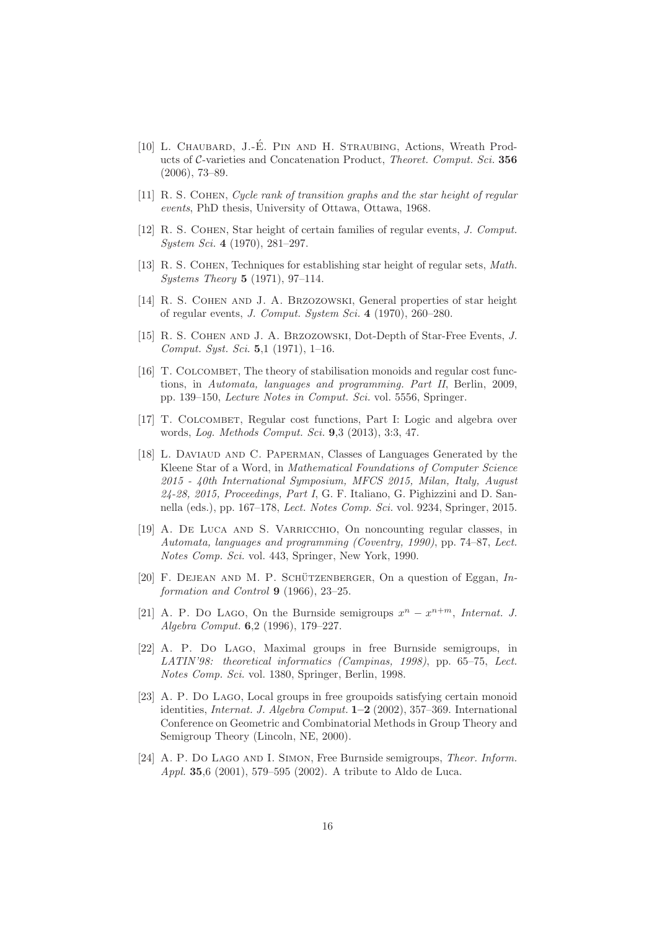- [10] L. CHAUBARD, J.-É. PIN AND H. STRAUBING, Actions, Wreath Products of C-varieties and Concatenation Product, *Theoret. Comput. Sci.* 356 (2006), 73–89.
- [11] R. S. Cohen, *Cycle rank of transition graphs and the star height of regular events*, PhD thesis, University of Ottawa, Ottawa, 1968.
- [12] R. S. Cohen, Star height of certain families of regular events, *J. Comput. System Sci.* 4 (1970), 281–297.
- [13] R. S. Cohen, Techniques for establishing star height of regular sets, *Math. Systems Theory* 5 (1971), 97–114.
- [14] R. S. Cohen and J. A. Brzozowski, General properties of star height of regular events, *J. Comput. System Sci.* 4 (1970), 260–280.
- [15] R. S. Cohen and J. A. Brzozowski, Dot-Depth of Star-Free Events, *J. Comput. Syst. Sci.* 5,1 (1971), 1–16.
- [16] T. COLCOMBET, The theory of stabilisation monoids and regular cost functions, in *Automata, languages and programming. Part II*, Berlin, 2009, pp. 139–150, *Lecture Notes in Comput. Sci.* vol. 5556, Springer.
- [17] T. COLCOMBET, Regular cost functions, Part I: Logic and algebra over words, *Log. Methods Comput. Sci.* 9,3 (2013), 3:3, 47.
- [18] L. Daviaud and C. Paperman, Classes of Languages Generated by the Kleene Star of a Word, in *Mathematical Foundations of Computer Science 2015 - 40th International Symposium, MFCS 2015, Milan, Italy, August 24-28, 2015, Proceedings, Part I*, G. F. Italiano, G. Pighizzini and D. Sannella (eds.), pp. 167–178, *Lect. Notes Comp. Sci.* vol. 9234, Springer, 2015.
- [19] A. De Luca and S. Varricchio, On noncounting regular classes, in *Automata, languages and programming (Coventry, 1990)*, pp. 74–87, *Lect. Notes Comp. Sci.* vol. 443, Springer, New York, 1990.
- [20] F. DEJEAN AND M. P. SCHÜTZENBERGER, On a question of Eggan, *Information and Control* 9 (1966), 23–25.
- [21] A. P. Do LAGO, On the Burnside semigroups  $x^n x^{n+m}$ , *Internat. J. Algebra Comput.* 6,2 (1996), 179–227.
- [22] A. P. Do Lago, Maximal groups in free Burnside semigroups, in *LATIN'98: theoretical informatics (Campinas, 1998)*, pp. 65–75, *Lect. Notes Comp. Sci.* vol. 1380, Springer, Berlin, 1998.
- [23] A. P. Do Lago, Local groups in free groupoids satisfying certain monoid identities, *Internat. J. Algebra Comput.* 1–2 (2002), 357–369. International Conference on Geometric and Combinatorial Methods in Group Theory and Semigroup Theory (Lincoln, NE, 2000).
- [24] A. P. Do Lago and I. Simon, Free Burnside semigroups, *Theor. Inform. Appl.* 35,6 (2001), 579–595 (2002). A tribute to Aldo de Luca.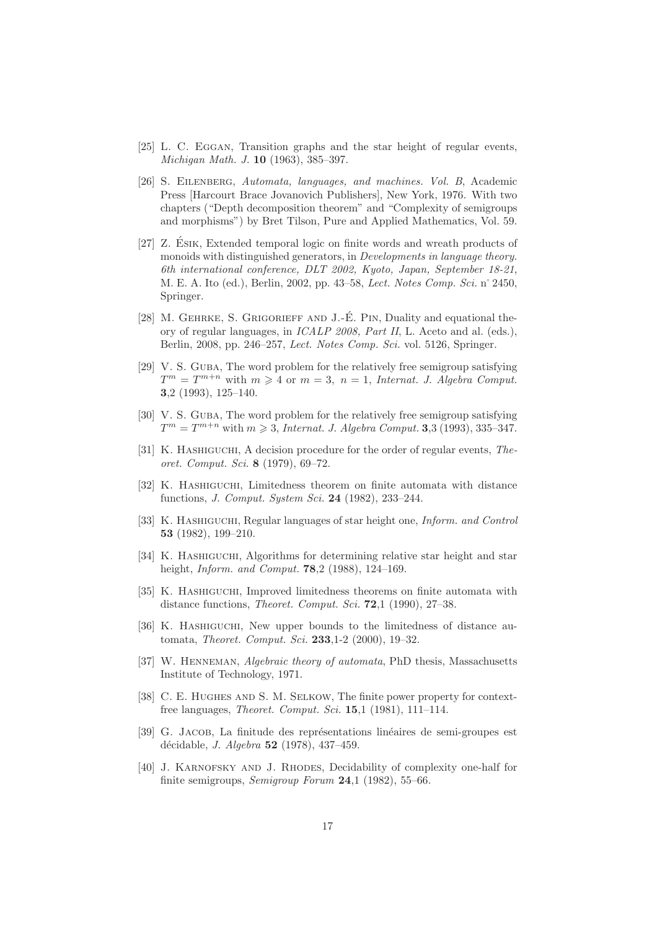- [25] L. C. EGGAN, Transition graphs and the star height of regular events, *Michigan Math. J.* 10 (1963), 385–397.
- [26] S. Eilenberg, *Automata, languages, and machines. Vol. B*, Academic Press [Harcourt Brace Jovanovich Publishers], New York, 1976. With two chapters ("Depth decomposition theorem" and "Complexity of semigroups and morphisms") by Bret Tilson, Pure and Applied Mathematics, Vol. 59.
- [27] Z. ESIK, Extended temporal logic on finite words and wreath products of monoids with distinguished generators, in *Developments in language theory. 6th international conference, DLT 2002, Kyoto, Japan, September 18-21*, M. E. A. Ito (ed.), Berlin, 2002, pp. 43–58, *Lect. Notes Comp. Sci.* n˚2450, Springer.
- [28] M. GEHRKE, S. GRIGORIEFF AND J.-É. PIN, Duality and equational theory of regular languages, in *ICALP 2008, Part II*, L. Aceto and al. (eds.), Berlin, 2008, pp. 246–257, *Lect. Notes Comp. Sci.* vol. 5126, Springer.
- [29] V. S. GUBA, The word problem for the relatively free semigroup satisfying  $T^m = T^{m+n}$  with  $m \geq 4$  or  $m = 3$ ,  $n = 1$ , *Internat. J. Algebra Comput.* 3,2 (1993), 125–140.
- [30] V. S. GUBA, The word problem for the relatively free semigroup satisfying  $T^m = T^{m+n}$  with  $m \ge 3$ , *Internat. J. Algebra Comput.* **3**,3 (1993), 335-347.
- [31] K. Hashiguchi, A decision procedure for the order of regular events, *Theoret. Comput. Sci.* 8 (1979), 69–72.
- [32] K. Hashiguchi, Limitedness theorem on finite automata with distance functions, *J. Comput. System Sci.* 24 (1982), 233–244.
- [33] K. Hashiguchi, Regular languages of star height one, *Inform. and Control* 53 (1982), 199–210.
- [34] K. HASHIGUCHI, Algorithms for determining relative star height and star height, *Inform. and Comput.* 78,2 (1988), 124–169.
- [35] K. Hashiguchi, Improved limitedness theorems on finite automata with distance functions, *Theoret. Comput. Sci.* 72,1 (1990), 27–38.
- [36] K. Hashiguchi, New upper bounds to the limitedness of distance automata, *Theoret. Comput. Sci.* 233,1-2 (2000), 19–32.
- [37] W. Henneman, *Algebraic theory of automata*, PhD thesis, Massachusetts Institute of Technology, 1971.
- [38] C. E. Hughes and S. M. Selkow, The finite power property for contextfree languages, *Theoret. Comput. Sci.* 15,1 (1981), 111–114.
- [39] G. JACOB, La finitude des représentations linéaires de semi-groupes est d´ecidable, *J. Algebra* 52 (1978), 437–459.
- [40] J. KARNOFSKY AND J. RHODES, Decidability of complexity one-half for finite semigroups, *Semigroup Forum* 24,1 (1982), 55–66.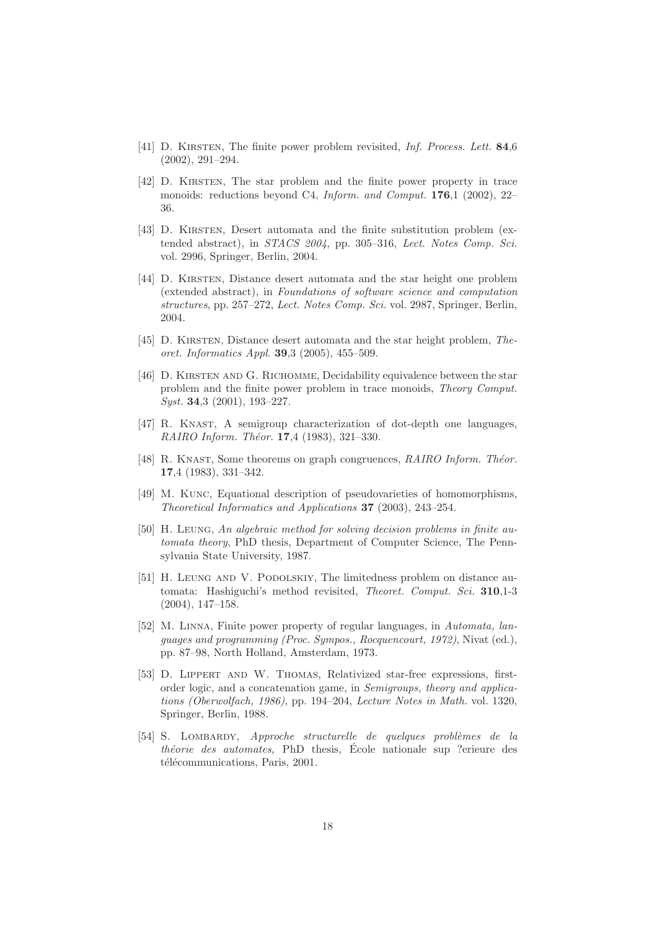- [41] D. Kirsten, The finite power problem revisited, *Inf. Process. Lett.* 84,6 (2002), 291–294.
- [42] D. KIRSTEN, The star problem and the finite power property in trace monoids: reductions beyond C4, *Inform. and Comput.* 176,1 (2002), 22– 36.
- [43] D. Kirsten, Desert automata and the finite substitution problem (extended abstract), in *STACS 2004*, pp. 305–316, *Lect. Notes Comp. Sci.* vol. 2996, Springer, Berlin, 2004.
- [44] D. Kirsten, Distance desert automata and the star height one problem (extended abstract), in *Foundations of software science and computation structures*, pp. 257–272, *Lect. Notes Comp. Sci.* vol. 2987, Springer, Berlin, 2004.
- [45] D. Kirsten, Distance desert automata and the star height problem, *Theoret. Informatics Appl.* 39,3 (2005), 455–509.
- [46] D. KIRSTEN AND G. RICHOMME, Decidability equivalence between the star problem and the finite power problem in trace monoids, *Theory Comput. Syst.* 34,3 (2001), 193–227.
- [47] R. Knast, A semigroup characterization of dot-depth one languages, *RAIRO Inform. Théor.* **17.**4 (1983), 321-330.
- [48] R. KNAST, Some theorems on graph congruences, *RAIRO Inform. Théor.* 17,4 (1983), 331–342.
- [49] M. Kunc, Equational description of pseudovarieties of homomorphisms, *Theoretical Informatics and Applications* 37 (2003), 243–254.
- [50] H. Leung, *An algebraic method for solving decision problems in finite automata theory*, PhD thesis, Department of Computer Science, The Pennsylvania State University, 1987.
- [51] H. LEUNG AND V. PODOLSKIY, The limitedness problem on distance automata: Hashiguchi's method revisited, *Theoret. Comput. Sci.* 310,1-3 (2004), 147–158.
- [52] M. Linna, Finite power property of regular languages, in *Automata, languages and programming (Proc. Sympos., Rocquencourt, 1972)*, Nivat (ed.), pp. 87–98, North Holland, Amsterdam, 1973.
- [53] D. Lippert and W. Thomas, Relativized star-free expressions, firstorder logic, and a concatenation game, in *Semigroups, theory and applications (Oberwolfach, 1986)*, pp. 194–204, *Lecture Notes in Math.* vol. 1320, Springer, Berlin, 1988.
- [54] S. Lombardy, *Approche structurelle de quelques probl`emes de la théorie des automates*, PhD thesis, École nationale sup ?erieure des télécommunications, Paris, 2001.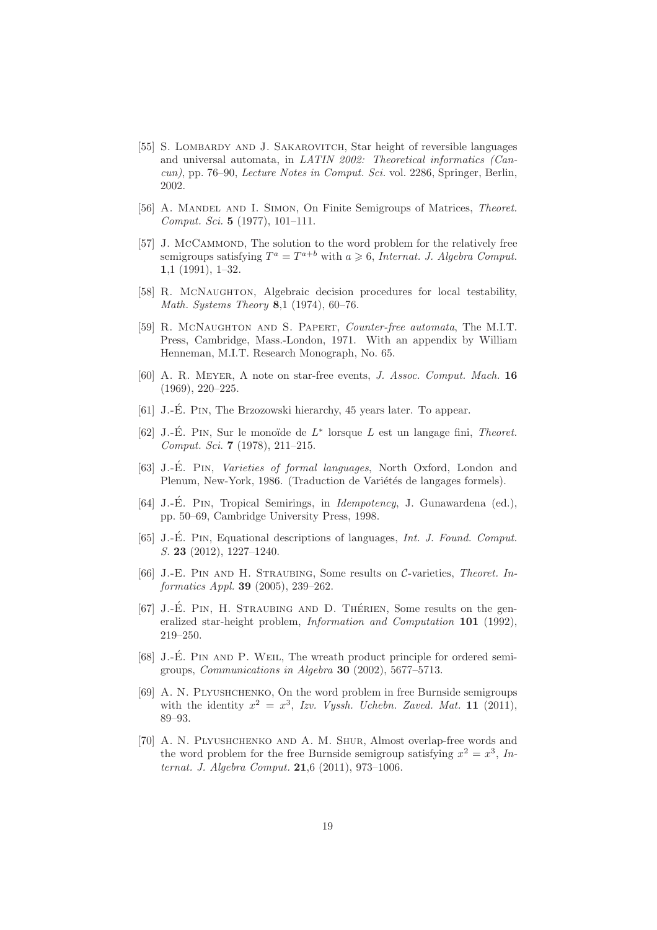- [55] S. LOMBARDY AND J. SAKAROVITCH, Star height of reversible languages and universal automata, in *LATIN 2002: Theoretical informatics (Cancun)*, pp. 76–90, *Lecture Notes in Comput. Sci.* vol. 2286, Springer, Berlin, 2002.
- [56] A. Mandel and I. Simon, On Finite Semigroups of Matrices, *Theoret. Comput. Sci.* 5 (1977), 101–111.
- [57] J. McCAMMOND, The solution to the word problem for the relatively free semigroups satisfying  $T^a = T^{a+b}$  with  $a \geq 6$ , *Internat. J. Algebra Comput.* 1,1 (1991), 1–32.
- [58] R. MCNAUGHTON, Algebraic decision procedures for local testability, *Math. Systems Theory* 8,1 (1974), 60–76.
- [59] R. McNaughton and S. Papert, *Counter-free automata*, The M.I.T. Press, Cambridge, Mass.-London, 1971. With an appendix by William Henneman, M.I.T. Research Monograph, No. 65.
- [60] A. R. Meyer, A note on star-free events, *J. Assoc. Comput. Mach.* 16 (1969), 220–225.
- [61] J.-É. PIN, The Brzozowski hierarchy, 45 years later. To appear.
- [62] J.-É. PIN, Sur le monoïde de  $L^*$  lorsque  $L$  est un langage fini, *Theoret. Comput. Sci.* 7 (1978), 211–215.
- [63] J.-E. PIN, *Varieties of formal languages*, North Oxford, London and Plenum, New-York, 1986. (Traduction de Variétés de langages formels).
- [64] J.-E. PIN, Tropical Semirings, in *Idempotency*, J. Gunawardena (ed.), pp. 50–69, Cambridge University Press, 1998.
- [65] J.-E. Pin ´ , Equational descriptions of languages, *Int. J. Found. Comput. S.* 23 (2012), 1227–1240.
- [66] J.-E. Pin and H. Straubing, Some results on C-varieties, *Theoret. Informatics Appl.* 39 (2005), 239–262.
- $[67]$  J.-É. PIN, H. STRAUBING AND D. THÉRIEN, Some results on the generalized star-height problem, *Information and Computation* 101 (1992), 219–250.
- [68] J.-É. PIN AND P. WEIL, The wreath product principle for ordered semigroups, *Communications in Algebra* 30 (2002), 5677–5713.
- [69] A. N. PLYUSHCHENKO, On the word problem in free Burnside semigroups with the identity  $x^2 = x^3$ , Izv. Vyssh. Uchebn. Zaved. Mat. 11 (2011), 89–93.
- [70] A. N. Plyushchenko and A. M. Shur, Almost overlap-free words and the word problem for the free Burnside semigroup satisfying  $x^2 = x^3$ , In*ternat. J. Algebra Comput.* 21,6 (2011), 973–1006.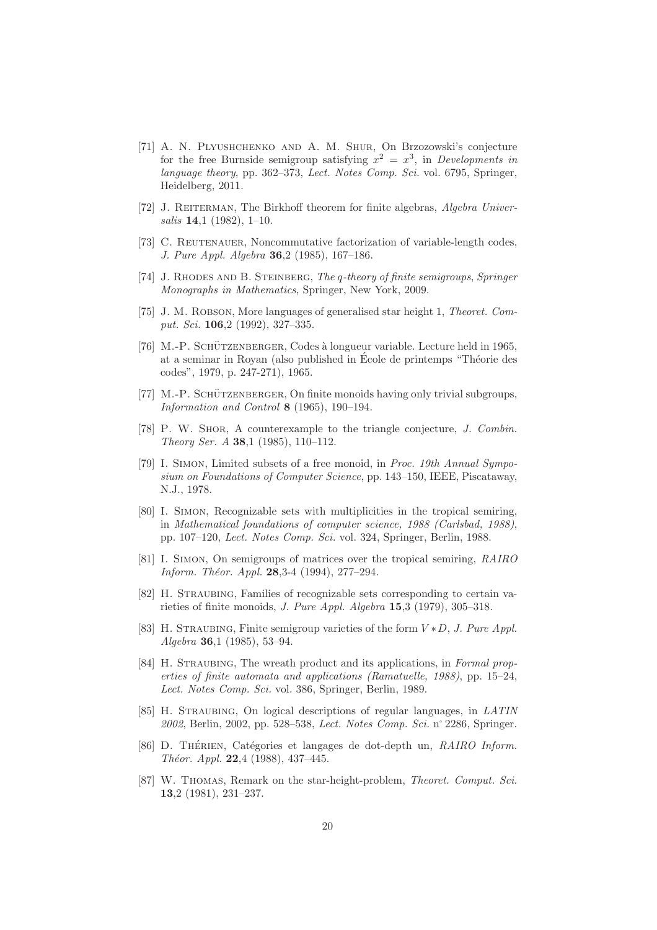- [71] A. N. Plyushchenko and A. M. Shur, On Brzozowski's conjecture for the free Burnside semigroup satisfying  $x^2 = x^3$ , in *Developments in language theory*, pp. 362–373, *Lect. Notes Comp. Sci.* vol. 6795, Springer, Heidelberg, 2011.
- [72] J. REITERMAN, The Birkhoff theorem for finite algebras, *Algebra Universalis* 14,1 (1982), 1–10.
- [73] C. REUTENAUER, Noncommutative factorization of variable-length codes, *J. Pure Appl. Algebra* 36,2 (1985), 167–186.
- [74] J. Rhodes and B. Steinberg, *The* q*-theory of finite semigroups*, *Springer Monographs in Mathematics*, Springer, New York, 2009.
- [75] J. M. Robson, More languages of generalised star height 1, *Theoret. Comput. Sci.* 106,2 (1992), 327–335.
- [76] M.-P. SCHÜTZENBERGER, Codes à longueur variable. Lecture held in 1965, at a seminar in Royan (also published in École de printemps "Théorie des codes", 1979, p. 247-271), 1965.
- [77] M.-P. SCHÜTZENBERGER, On finite monoids having only trivial subgroups, *Information and Control* 8 (1965), 190–194.
- [78] P. W. Shor, A counterexample to the triangle conjecture, *J. Combin. Theory Ser. A* 38,1 (1985), 110–112.
- [79] I. Simon, Limited subsets of a free monoid, in *Proc. 19th Annual Symposium on Foundations of Computer Science*, pp. 143–150, IEEE, Piscataway, N.J., 1978.
- [80] I. Simon, Recognizable sets with multiplicities in the tropical semiring, in *Mathematical foundations of computer science, 1988 (Carlsbad, 1988)*, pp. 107–120, *Lect. Notes Comp. Sci.* vol. 324, Springer, Berlin, 1988.
- [81] I. Simon, On semigroups of matrices over the tropical semiring, *RAIRO Inform. Théor. Appl.* **28**, 3-4 (1994), 277-294.
- [82] H. Straubing, Families of recognizable sets corresponding to certain varieties of finite monoids, *J. Pure Appl. Algebra* 15,3 (1979), 305–318.
- [83] H. STRAUBING, Finite semigroup varieties of the form  $V * D$ , *J. Pure Appl. Algebra* 36,1 (1985), 53–94.
- [84] H. Straubing, The wreath product and its applications, in *Formal properties of finite automata and applications (Ramatuelle, 1988)*, pp. 15–24, *Lect. Notes Comp. Sci.* vol. 386, Springer, Berlin, 1989.
- [85] H. Straubing, On logical descriptions of regular languages, in *LATIN 2002*, Berlin, 2002, pp. 528–538, *Lect. Notes Comp. Sci.* n˚2286, Springer.
- [86] D. THÉRIEN, Catégories et langages de dot-depth un, *RAIRO Inform. Théor. Appl.* **22**,4 (1988), 437-445.
- [87] W. Thomas, Remark on the star-height-problem, *Theoret. Comput. Sci.* 13,2 (1981), 231–237.